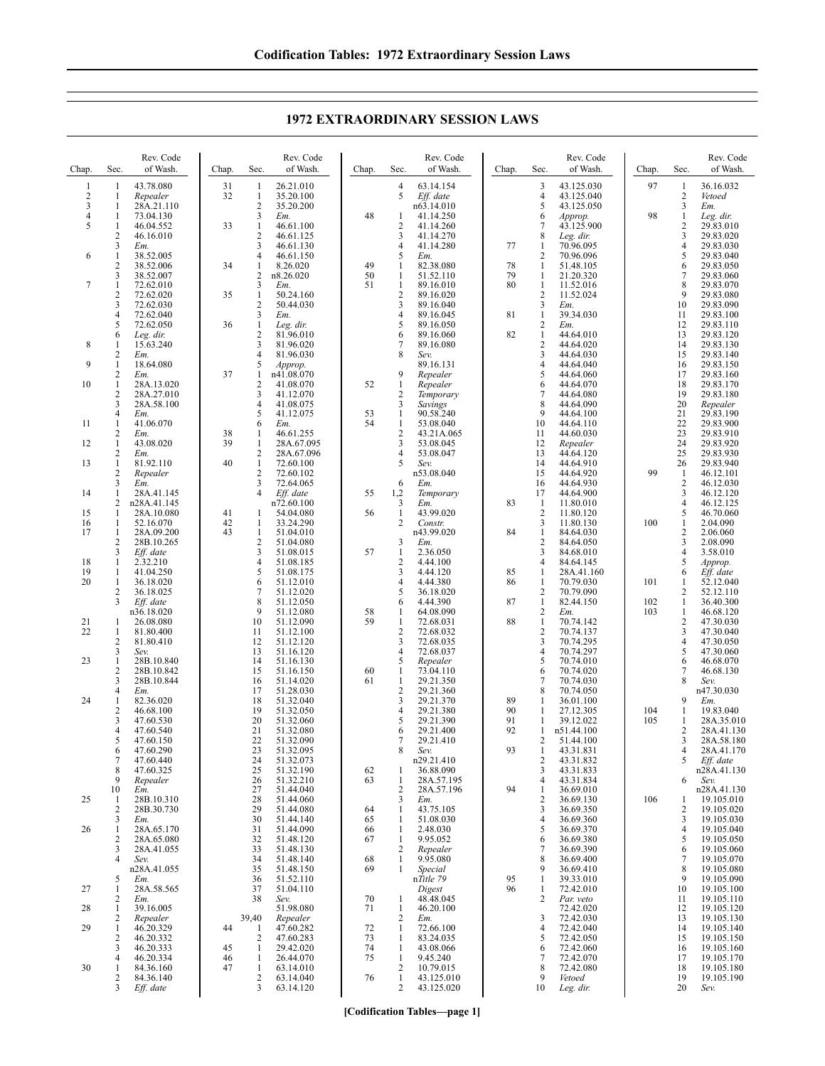Chap. Sec. Rev. Code of Wash. 1 1 43.78.080 2 1 *Repealer*  $\frac{1}{4}$  1 28A.21.110 4 1 73.04.130<br>5 1 46.04.552 46.04.552  $\frac{2}{3}$  46.16.010 3 *Em.* 6 1 38.52.005<br>2 38.52.006<br>3 38.52.007 38.52.006 38.52.007 7 1 72.62.010<br>2 72.62.020<br>3 72.62.030 2 72.62.020 3 72.62.030 4 72.62.040 72.62.050 6 *Leg. dir.* 8 1 15.63.240  $\frac{2}{1}$  *Em.* 9  $\frac{1}{2}$   $\frac{18.64.080}{Em}$  $Em$ 10 1 28A.13.020<br>2 28A.27.010  $\frac{2}{3}$  28A.27.010 3 28A.58.100<br>4 *Em.* 4 *Em.* 11  $1 \t 41.06.070$ <br>2  $Em.$ 2 *Em.* 12 1 43.08.020  $\frac{2}{1}$  *Em.* 13 1 81.92.110<br>2 *Repealer* 2 *Repealer*  $\frac{3}{1}$   $\frac{E_{m}}{28A}$ 14 1 28A.41.145<br>2 n28A 41.145 2 n28A.41.145 15 1 28A.10.080<br>16 1 52.16.070 16 1 52.16.070<br>17 1 28A.09.20  $\frac{1}{2}$  28A.09.200<br>2 28B.10.265<br>3 *Eff. date* 2 28B.10.265 3 *Eff. date*  $\frac{18}{19}$  1 2.32.210<br>19 1 41.04.25 19 1 41.04.250<br>20 1 36.18.020 36.18.020 2 36.18.025<br>3 Eff. date 3 *Eff. date* n36.18.020 21 1 26.08.080<br>22 1 81.80.400  $\begin{array}{r} 1 & 81.80.400 \\ 2 & 81.80.410 \\ 3 & Sev. \end{array}$ 81.80.410 3 *Sev.* 23 1 28B.10.840<br>2 28B.10.842 2 28B.10.842<br>3 28B.10.844 28B.10.844 4 *Em.* 24 1 82.36.020  $\frac{2}{3}$  46.68.100<br>3 47.60.530 3 47.60.530<br>4 47.60.540 4 47.60.540 5 47.60.150<br>6 47.60.290 6 47.60.290 7 47.60.440 8 47.60.325 9 *Repealer* 10 *Em.* 25 1 28B.10.310<br>2 28B.30.730 2  $28B.30.730$ <br>3  $Em.$ 3 *Em.* 26 1 28A.65.170 2 28A.65.080<br>3 28A.41.055 3 28A.41.055<br>4 *Sev.* 4 *Sev.* n28A.41.055 5 *Em.* 27 1 28A.58.565  $\frac{2}{1}$  *Em.* 28 1 39.16.005<br>2 *Repealer* 2 *Repealer* 29 1 46.20.329  $\frac{2}{3}$   $\frac{46.20.332}{46.20.333}$ 3 46.20.333 4 46.20.334 30 1 84.36.160<br>2 84.36.140 Chap. Sec. Rev. Code of Wash. 31 1 26.21.010<br>32 1 35.20.100 1 35.20.100  $\frac{2}{3}$   $\frac{35.20.200}{Em}$  $\frac{3}{1}$  *Em.* 33 1 46.61.100 2 46.61.125<br>3 46.61.130 3 46.61.130<br>4 46.61.150  $\frac{4}{1}$   $\frac{46.61.150}{8.26.020}$ 34 1 8.26.020<br>2 n8 26 020 2  $n8.26.020$ <br>3  $Em.$ 3 *Em.* 35 1 50.24.160  $\frac{2}{3}$  50.44.030  $\frac{3}{1}$  *Em.* 36 1 *Leg. dir.* 2 81.96.010  $\frac{3}{4}$  81.96.020 4 81.96.030 5 *Approp.* 37 1 n41.08.070  $\frac{2}{3}$  41.08.070<br>41.12.070  $\frac{3}{4}$   $\frac{41.12.070}{41.08.075}$ 4 41.08.075 5 41.12.075<br>6 *Em.* 6 *Em.* 38 1 46.61.255<br>39 1 28A.67.09  $\frac{1}{2}$  28A.67.095 2 28A.67.096<br>1 72.60.100 40  $\overline{1}$  72.60.100<br>2 72.60.102 2 72.60.102<br>3 72.64.065 3 72.64.065<br>4 *Eff. date* 4 *Eff. date* n72.60.100 41 1 54.04.080<br>42 1 33.24.290 42 1 33.24.290<br>43 1 51.04.010  $\begin{array}{r} 1 & 51.04.010 \\ 2 & 51.04.080 \\ 3 & 51.08.015 \end{array}$ 2 51.04.080 3 51.08.015  $\frac{4}{5}$   $\frac{51.08.185}{51.08.175}$ 5 51.08.175  $6$  51.12.010<br>  $7$  51.12.020<br>  $8$  51.12.050 7 51.12.020 8 51.12.050 9 51.12.080<br>10 51.12.090 10 51.12.090 11 51.12.100<br>12 51.12.120<br>13 51.16.120 12 51.12.120 13 51.16.120 14 51.16.130 15 51.16.150 51.14.020 17 51.28.030<br>18 51.32.040 18 51.32.040<br>19 51.32.050 19 51.32.050 20 51.32.060<br>
21 51.32.080<br>
22 51.32.090<br>
23 51.32.095 51.32.080 51.32.090 23 51.32.095<br>24 51.32.073 24 51.32.073<br>25 51.32.190<br>26 51.32.210 51.32.190 26 51.32.210<br>27 51.44.040<br>28 51.44.060 51.44.040 28 51.44.060<br>29 51.44.080 29 51.44.080<br>30 51.44.140 30 51.44.140<br>31 51.44.090<br>32 51.48.120 31 51.44.090 32 51.48.120<br>33 51.48.130 33 51.48.130 34 51.48.140<br>35 51.48.150 35 51.48.150<br>36 51.52.110 36 51.52.110<br>37 51.04.110<br>38 *Sev.* 37 51.04.110 38 *Sev.* 51.98.080 39,40 *Repealer* 44 1 47.60.282  $\frac{2}{1}$   $\frac{47.60.283}{29.42.020}$ 45 1 29.42.020<br>46 1 26.44.070<br>47 1 63.14.010 1 26.44.070 63.14.010 Chap. Sec. Rev. Code of Wash. 4 63.14.154 5 *Eff. date* n63.14.010 48 1 41.14.250<br>2 41.14.260 2 41.14.260 3 41.14.270  $\frac{4}{5}$   $\frac{41.14.280}{Em}$ 5 *Em.* 49 1 82.38.080 50 1 51.52.110  $\frac{1}{2}$  89.16.010<br>3 89.16.020 2 89.16.020 3 89.16.040<br>4 89.16.045 4 89.16.045 89.16.050 6 89.16.060 7 89.16.080<br>8 Sev 8 *Sev.* 89.16.131 9 *Repealer* 52 1 *Repealer* 2 *Temporary* 3 *Savings* 53 1 90.58.240 54 1 53.08.040<br>2 43.21A.06 2 43.21A.065<br>3 53.08.045 3 53.08.045<br>4 53.08.047 4 53.08.047<br>5 Sev. 5 *Sev.* n53.08.040 6 *Em.* 55 1,2 *Temporary* 3 *Em.* 56 1 43.99.020<br>2 Constr. 2 *Constr.* n43.99.020 3 *Em.* 57 1 2.36.050  $\frac{2}{3}$  4.44.100 3 4.44.120 4 4.44.380<br>5 36.18.02 5 36.18.020 6 4.44.390 58 1 64.08.090 1 72.68.031<br>2 72.68.032 2 72.68.032<br>3 72.68.035<br>4 72.68.037 72.68.035 4 72.68.037<br>5 *Repealer* 5 *Repealer* 60 1 73.04.110<br>61 1 29.21.350 29.21.350 2 29.21.360<br>3 29.21.370  $\frac{1}{3}$  29.21.370<br>4 29.21.380  $\frac{4}{5}$  29.21.380 5 29.21.390 29.21.400 7 29.21.410<br>8 Sev 8 *Sev.* n29.21.410 62 1 36.88.090 63 1 28A.57.195 2 28A.57.196<br>3  $Em.$  $\frac{3}{1}$  *Em.* 64 1 43.75.105<br>65 1 51.08.030 51.08.030 66 1 2.48.030 1 9.95.052<br>2 Repeater 2 *Repealer* 68 1 9.95.080<br>69 1 *Special* 69 1 *Special* n*Title 79 Digest* 70 1 48.48.045 71  $1 \t 46.20.100$ <br>2  $F_m$ 2 *Em.* 72 1 72.66.100<br>73 1 83.24.035<br>74 1 43.08.066  $\frac{1}{1}$  83.24.035 74 1 43.08.066  $\frac{1}{2}$  9.45.240 2 10.79.015 76 1 43.125.010<br>2 43.125.020 Chap. Sec. Rev. Code of Wash. 3 43.125.030 4 43.125.040 5 43.125.050<br>6 *Approp.* 6 *Approp.* 7 43.125.900 8 *Leg. dir.* 77 1 70.96.095  $\frac{2}{1}$  70.96.096 78 1 51.48.105 79 1 21.20.320 11.52.016 2  $11.52.024$ <br>3  $Fm$ 81 39.34.030 2 *Em.*  $82 \t 1 \t 44.64.010$ <br>2 44.64.020  $\frac{2}{3}$  44.64.020 3 44.64.030<br>4 44.64.040<br>5 44.64.060 44.64.040 5 44.64.060<br>6 44.64.070<br>7 44.64.080 44.64.070 7 44.64.080<br>8 44.64.090 8 44.64.090<br>9 44.64.100 9 44.64.100<br>10 44.64.110 10 44.64.110<br>11 44.60.030 11 44.60.030<br>12 Repealer 12 *Repealer* 13 44.64.120 14 44.64.910<br>15 44.64.920 15 44.64.920<br>16 44.64.930 16 44.64.930<br>17 44.64.900 17 44.64.900 83 1 11.80.010  $\frac{2}{3}$  11.80.120 3 11.80.130 84 1 84.64.030 2 84.64.050<br>3 84.68.010 3 84.68.010<br>4 84.64.145 4 84.64.145<br>1 28A.41.16 85 1 28A.41.160 70.79.030  $\frac{2}{1}$  70.79.090  $\begin{array}{@{}c@{\hspace{1em}}c@{\hspace{1em}}c@{\hspace{1em}}c@{\hspace{1em}}c@{\hspace{1em}}c@{\hspace{1em}}c@{\hspace{1em}}c@{\hspace{1em}}c@{\hspace{1em}}c@{\hspace{1em}}c@{\hspace{1em}}c@{\hspace{1em}}c@{\hspace{1em}}c@{\hspace{1em}}c@{\hspace{1em}}c@{\hspace{1em}}c@{\hspace{1em}}c@{\hspace{1em}}c@{\hspace{1em}}c@{\hspace{1em}}c@{\hspace{1em}}c@{\hspace{1em}}c@{\hspace{1em}}c@{\hspace{$  $\frac{2}{1}$  *Em.*<br> $\frac{70.7}{70.7}$ 88 1 70.74.142 2 70.74.137<br>3 70.74.295<br>4 70.74.297 3 70.74.295 4 70.74.297  $5$  70.74.010<br>6 70.74.020 70.74.020 70.74.030 8 70.74.050 89 1 36.01.100<br>90 1 27.12.305 90 1 27.12.305<br>91 1 39.12.022 91 1 39.12.022<br>92 1 p51 44 100 n51.44.100 2 51.44.100 93 1 43.31.831  $\begin{array}{@{}c@{\hspace{1em}}c@{\hspace{1em}}l} 2 & 43.31.832 \\ 3 & 43.31.833 \end{array}$ 3 43.31.833 4 43.31.834 94 1 36.69.010<br>2 36.69.130  $\frac{2}{3}$  36.69.130  $3 \qquad 36.69.350 \\ 4 \qquad 36.69.360$ 3669.360 5 36.69.370  $\frac{6}{7}$  36.69.380  $\begin{array}{r} 7 & 36.69.390 \\ 8 & 36.69.400 \end{array}$  $\begin{array}{@{}c@{}} 8 & 36.69.400 \\ 9 & 36.69.410 \end{array}$ 9 36.69.410 95 1 39.33.010<br>96 1 72.42.010  $\frac{1}{2}$  72.42.010 Par. veto 72.42.020 3 72.42.030<br>4 72.42.040 4 72.42.040<br>5 72.42.050 5 72.42.050  $\frac{6}{7}$  72.42.060 7 72.42.070<br>8 72.42.080 8 72.42.080<br>9 *Vetoed* Chap. Sec. Rev. Code of Wash. 97 1 36.16.032 2 *Vetoed* 3 *Em.* 98 1 *Leg. dir.*  $\frac{2}{3}$   $\frac{29.83.010}{29.83.020}$ 29.83.020  $\frac{4}{5}$  29.83.030  $\begin{array}{r} 5 \\ 6 \end{array} \quad \begin{array}{r} 29.83.040 \\ 29.83.050 \end{array}$ 29.83.050 7 29.83.060<br>8 29.83.070 29.83.070 9 29.83.080<br>10 29.83.090 10 29.83.090 11 29.83.100 12 29.83.110<br>13 29.83.120 13 29.83.120<br>14 29.83.130 14 29.83.130<br>15 29.83.140 15 29.83.140<br>16 29.83.150 16 29.83.150<br>17 29.83.160 17 29.83.160<br>18 29.83.170 18 29.83.170<br>19 29.83.180 19 29.83.180<br>20 *Repealer* 20 *Repealer* 21 29.83.190<br>22 29.83.900 22 29.83.900<br>23 29.83.910 23 29.83.910<br>24 29.83.920<br>25 29.83.930 24 29.83.920 25 29.83.930<br>26 29.83.940  $\frac{26}{1}$  29.83.940 99 1 46.12.101<br>2 46.12.030 2 46.12.030<br>3 46.12.120  $\frac{3}{4}$   $\frac{46.12.120}{46.12.125}$ 46.12.125<br>5 46.70.060  $\begin{array}{cc} 5 & 46.70.060 \\ 1 & 2.04.090 \end{array}$ 100 1 2.04.090<br>2 2.06.060  $\begin{array}{cc} 2 & 2.06.060 \\ 3 & 2.08.090 \end{array}$  $\frac{3}{4}$  2.08.090<br>4 3.58.010 4 3.58.010<br>5 *Approp.* 5 *Approp.* 6 *Eff. date*  $\begin{array}{cccc}\n 101 & 1 & 52.12.040 \\
 & 2 & 52.12.110 \\
 102 & 1 & 36.40.300\n \end{array}$ 2 52.12.110  $102$  1 36.40.300<br>103 1 46.68.120  $1$  46.68.120<br>2 47.30.030 2 47.30.030<br>3 47.30.040  $\begin{array}{r} 3 & 47.30.040 \\ 4 & 47.30.050 \\ 5 & 47.30.060 \end{array}$ 47.30.050  $5 \t 47.30.060$ <br>6 46.68.070 6 46.68.070  $\frac{7}{8}$  46.68.130 8 *Sev.* n47.30.030  $\frac{9}{1}$  *Em.* 104 1 19.83.040<br>105 1 28A.35.01  $\frac{1}{2}$  28A.35.010 2 28A.41.130<br>3 28A.58.180 3 28A.58.180<br>4 28A.41.170 4 28A.41.170<br>5 Eff. date 5 *Eff. date* n28A.41.130 6 *Sev.* n28A.41.130 106 1 19.105.010<br>2 19.105.020  $\frac{2}{3}$  19.105.020 19.105.030 4 19.105.040<br>5 19.105.050 5 19.105.050<br>6 19.105.060 6 19.105.060 7 19.105.070<br>8 19.105.080  $\begin{array}{cc}\n 8 & 19.105.080 \\
 9 & 19.105.090\n \end{array}$ 9 19.105.090<br>10 19.105.100 10 19.105.100<br>11 19.105.110 11 19.105.110<br>12 19.105.120 12 19.105.120<br>13 19.105.130 19 105 130 14 19.105.140<br>15 19.105.150 15 19.105.150 16 19.105.160 17 19.105.170<br>18 19 105 180 18 19.105.180<br>19 19.105.190

## **1972 EXTRAORDINARY SESSION LAWS**

**[Codification Tables—page 1]**

2 43.125.020

9 *Vetoed* Leg. dir. 19 19.105.190<br>20 *Sev.* 20 *Sev.*

 $\begin{array}{cc}\n 2 & 63.14.040 \\
 3 & 63.14.120\n \end{array}$ 3 63.14.120

2 84.36.140<br>3 Eff. date Eff. date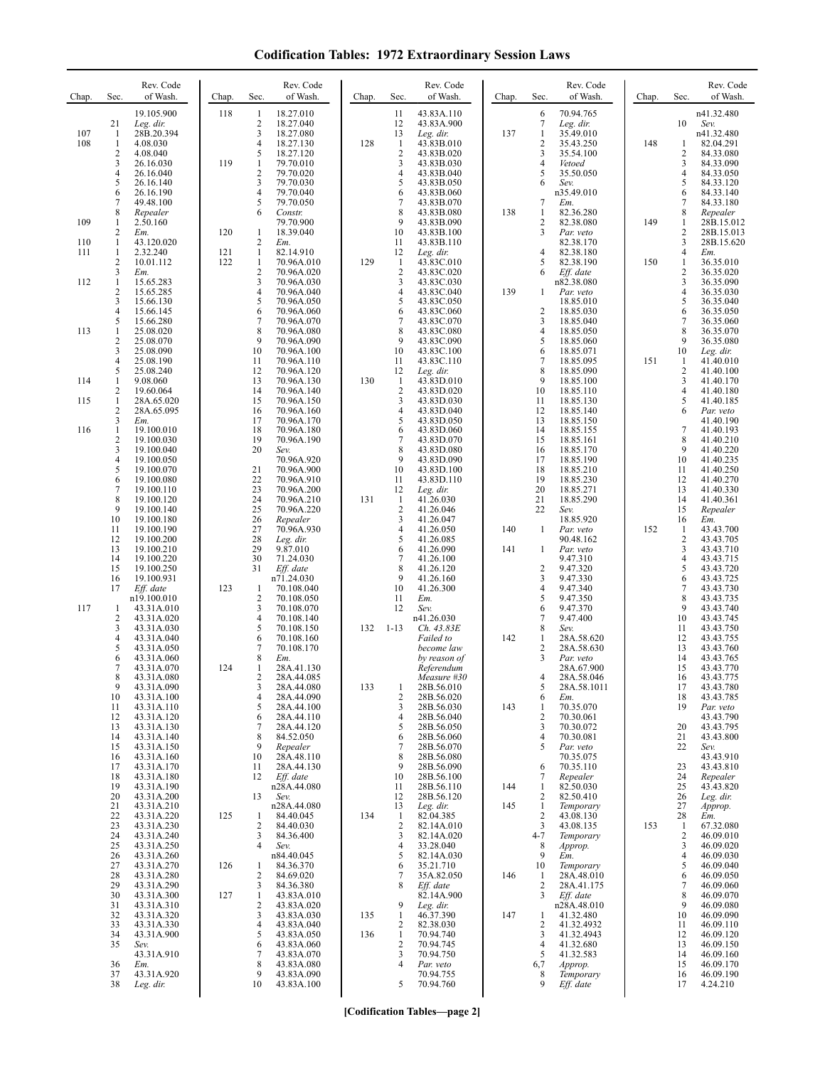**Codification Tables: 1972 Extraordinary Session Laws**

| Chap.      | Sec.                                  | Rev. Code<br>of Wash.                                                      | Chap.      | Sec.                                        | Rev. Code<br>of Wash.                                                      | Chap. | Sec.                                                       | Rev. Code<br>of Wash.                                                            | Chap. | Sec.                                                        | Rev. Code<br>of Wash.                                                   | Chap. | Sec.                                       | Rev. Code<br>of Wash.                                                      |
|------------|---------------------------------------|----------------------------------------------------------------------------|------------|---------------------------------------------|----------------------------------------------------------------------------|-------|------------------------------------------------------------|----------------------------------------------------------------------------------|-------|-------------------------------------------------------------|-------------------------------------------------------------------------|-------|--------------------------------------------|----------------------------------------------------------------------------|
| 107<br>108 | 21<br>-1<br>1<br>$\overline{c}$<br>3  | 19.105.900<br>Leg. dir.<br>28B.20.394<br>4.08.030<br>4.08.040<br>26.16.030 | 118<br>119 | 1<br>$\overline{c}$<br>3<br>4<br>5<br>1     | 18.27.010<br>18.27.040<br>18.27.080<br>18.27.130<br>18.27.120<br>79.70.010 | 128   | 11<br>12<br>13<br>$\mathbf{1}$<br>$\sqrt{2}$<br>3          | 43.83A.110<br>43.83A.900<br>Leg. dir.<br>43.83B.010<br>43.83B.020<br>43.83B.030  | 137   | 6<br>7<br>$\mathbf{1}$<br>$\overline{\mathbf{c}}$<br>3<br>4 | 70.94.765<br>Leg. dir.<br>35.49.010<br>35.43.250<br>35.54.100<br>Vetoed | 148   | 10<br>1<br>2<br>3                          | n41.32.480<br>Sev.<br>n41.32.480<br>82.04.291<br>84.33.080<br>84.33.090    |
| 109        | 4<br>5<br>6<br>7<br>8<br>1            | 26.16.040<br>26.16.140<br>26.16.190<br>49.48.100<br>Repealer<br>2.50.160   |            | $\overline{\mathbf{c}}$<br>3<br>4<br>5<br>6 | 79.70.020<br>79.70.030<br>79.70.040<br>79.70.050<br>Constr.<br>79.70.900   |       | 4<br>5<br>6<br>7<br>8<br>9                                 | 43.83B.040<br>43.83B.050<br>43.83B.060<br>43.83B.070<br>43.83B.080<br>43.83B.090 | 138   | 5<br>6<br>7<br>$\mathbf{1}$<br>2                            | 35.50.050<br>Sev.<br>n35.49.010<br>Em.<br>82.36.280<br>82.38.080        | 149   | 4<br>5<br>6<br>7<br>8<br>1                 | 84.33.050<br>84.33.120<br>84.33.140<br>84.33.180<br>Repealer<br>28B.15.012 |
| 110        | 2<br>1                                | Em.<br>43.120.020                                                          | 120        | 1<br>2                                      | 18.39.040<br>Em.                                                           |       | 10<br>11                                                   | 43.83B.100<br>43.83B.110                                                         |       | 3                                                           | Par. veto<br>82.38.170                                                  |       | 2<br>3                                     | 28B.15.013<br>28B.15.620                                                   |
| 111<br>112 | 1<br>2<br>3<br>1                      | 2.32.240<br>10.01.112<br>Em.                                               | 121<br>122 | 1<br>$\mathbf{1}$<br>2<br>3                 | 82.14.910<br>70.96A.010<br>70.96A.020<br>70.96A.030                        | 129   | 12<br>$\mathbf{1}$<br>$\overline{c}$<br>3                  | Leg. dir.<br>43.83C.010<br>43.83C.020<br>43.83C.030                              |       | 4<br>5<br>6                                                 | 82.38.180<br>82.38.190<br>$Eff.$ date<br>n82.38.080                     | 150   | 4<br>$\mathbf{1}$<br>2<br>3                | Em.<br>36.35.010<br>36.35.020<br>36.35.090                                 |
|            | $\overline{2}$<br>3<br>$\overline{4}$ | 15.65.283<br>15.65.285<br>15.66.130<br>15.66.145                           |            | 4<br>5<br>6                                 | 70.96A.040<br>70.96A.050<br>70.96A.060                                     |       | 4<br>5<br>6                                                | 43.83C.040<br>43.83C.050<br>43.83C.060                                           | 139   | 1<br>$\overline{c}$                                         | Par. veto<br>18.85.010<br>18.85.030                                     |       | $\overline{\mathbf{4}}$<br>5<br>6          | 36.35.030<br>36.35.040<br>36.35.050                                        |
| 113        | 5<br>$\mathbf{1}$<br>2<br>3           | 15.66.280<br>25.08.020<br>25.08.070<br>25.08.090                           |            | 7<br>8<br>9<br>10                           | 70.96A.070<br>70.96A.080<br>70.96A.090<br>70.96A.100                       |       | 7<br>8<br>9<br>10                                          | 43.83C.070<br>43.83C.080<br>43.83C.090<br>43.83C.100                             |       | 3<br>$\overline{4}$<br>5<br>6                               | 18.85.040<br>18.85.050<br>18.85.060<br>18.85.071                        |       | 7<br>8<br>9<br>10                          | 36.35.060<br>36.35.070<br>36.35.080<br>Leg. dir.                           |
| 114        | 4<br>5<br>1<br>$\overline{c}$         | 25.08.190<br>25.08.240<br>9.08.060<br>19.60.064                            |            | 11<br>12<br>13<br>14                        | 70.96A.110<br>70.96A.120<br>70.96A.130<br>70.96A.140                       | 130   | 11<br>12<br>$\mathbf{1}$<br>$\sqrt{2}$                     | 43.83C.110<br>Leg. dir.<br>43.83D.010<br>43.83D.020                              |       | $\tau$<br>8<br>9<br>10                                      | 18.85.095<br>18.85.090<br>18.85.100<br>18.85.110                        | 151   | 1<br>$\boldsymbol{2}$<br>3<br>4            | 41.40.010<br>41.40.100<br>41.40.170<br>41.40.180                           |
| 115        | 1<br>$\overline{2}$<br>3              | 28A.65.020<br>28A.65.095<br>Em.                                            |            | 15<br>16<br>17                              | 70.96A.150<br>70.96A.160<br>70.96A.170                                     |       | 3<br>$\overline{4}$<br>5                                   | 43.83D.030<br>43.83D.040<br>43.83D.050                                           |       | 11<br>12<br>13                                              | 18.85.130<br>18.85.140<br>18.85.150                                     |       | 5<br>6                                     | 41.40.185<br>Par. veto<br>41.40.190                                        |
| 116        | 1<br>2<br>3                           | 19.100.010<br>19.100.030<br>19.100.040                                     |            | 18<br>19<br>20                              | 70.96A.180<br>70.96A.190<br>Sev.                                           |       | 6<br>7<br>8<br>9                                           | 43.83D.060<br>43.83D.070<br>43.83D.080                                           |       | 14<br>15<br>16                                              | 18.85.155<br>18.85.161<br>18.85.170                                     |       | 7<br>8<br>9                                | 41.40.193<br>41.40.210<br>41.40.220                                        |
|            | 4<br>5<br>6<br>7                      | 19.100.050<br>19.100.070<br>19.100.080<br>19.100.110                       |            | 21<br>22<br>23                              | 70.96A.920<br>70.96A.900<br>70.96A.910<br>70.96A.200                       |       | 10<br>11<br>12                                             | 43.83D.090<br>43.83D.100<br>43.83D.110<br>Leg. dir.                              |       | 17<br>18<br>19<br>20                                        | 18.85.190<br>18.85.210<br>18.85.230<br>18.85.271                        |       | 10<br>11<br>12<br>13                       | 41.40.235<br>41.40.250<br>41.40.270<br>41.40.330                           |
|            | 8<br>9<br>10<br>11<br>12              | 19.100.120<br>19.100.140<br>19.100.180<br>19.100.190<br>19.100.200         |            | 24<br>25<br>26<br>27<br>28                  | 70.96A.210<br>70.96A.220<br>Repealer<br>70.96A.930<br>Leg. dir.            | 131   | $\mathbf{1}$<br>$\overline{2}$<br>3<br>$\overline{4}$<br>5 | 41.26.030<br>41.26.046<br>41.26.047<br>41.26.050<br>41.26.085                    | 140   | 21<br>22<br>1                                               | 18.85.290<br>Sev.<br>18.85.920<br>Par. veto<br>90.48.162                | 152   | 14<br>15<br>16<br>1<br>2                   | 41.40.361<br>Repealer<br>Em.<br>43.43.700<br>43.43.705                     |
|            | 13<br>14<br>15<br>16<br>17            | 19.100.210<br>19.100.220<br>19.100.250<br>19.100.931<br>Eff. date          | 123        | 29<br>30<br>31<br>1                         | 9.87.010<br>71.24.030<br>Eff. date<br>n71.24.030<br>70.108.040             |       | 6<br>7<br>8<br>9<br>10                                     | 41.26.090<br>41.26.100<br>41.26.120<br>41.26.160<br>41.26.300                    | 141   | 1<br>$\overline{\mathbf{c}}$<br>3<br>4                      | Par. veto<br>9.47.310<br>9.47.320<br>9.47.330<br>9.47.340               |       | 3<br>4<br>5<br>6<br>7                      | 43.43.710<br>43.43.715<br>43.43.720<br>43.43.725<br>43.43.730              |
| 117        | 1<br>$\overline{2}$<br>3<br>4         | n19.100.010<br>43.31A.010<br>43.31A.020<br>43.31A.030<br>43.31A.040        |            | $\overline{2}$<br>3<br>4<br>5<br>6          | 70.108.050<br>70.108.070<br>70.108.140<br>70.108.150<br>70.108.160         | 132   | 11<br>12<br>$1 - 13$                                       | Em.<br>Sev.<br>n41.26.030<br>Ch. 43.83E<br>Failed to                             | 142   | 5<br>6<br>7<br>8<br>1                                       | 9.47.350<br>9.47.370<br>9.47.400<br>Sev.<br>28A.58.620                  |       | 8<br>9<br>10<br>11<br>12                   | 43.43.735<br>43.43.740<br>43.43.745<br>43.43.750<br>43.43.755              |
|            | 5<br>6<br>7<br>8                      | 43.31A.050<br>43.31A.060<br>43.31A.070<br>43.31A.080                       | 124        | 7<br>8<br>1<br>2                            | 70.108.170<br>Em.<br>28A.41.130<br>28A.44.085                              |       |                                                            | become law<br>by reason of<br>Referendum<br>Measure #30                          |       | $\overline{2}$<br>3<br>4                                    | 28A.58.630<br>Par. veto<br>28A.67.900<br>28A.58.046                     |       | 13<br>14<br>15<br>16                       | 43.43.760<br>43.43.765<br>43.43.770<br>43.43.775                           |
|            | 9<br>10<br>11<br>12<br>13             | 43.31A.090<br>43.31A.100<br>43.31A.110<br>43.31A.120<br>43.31A.130         |            | 3<br>4<br>5<br>6<br>7                       | 28A.44.080<br>28A.44.090<br>28A.44.100<br>28A.44.110<br>28A.44.120         | 133   | 1<br>$\overline{c}$<br>3<br>4<br>5                         | 28B.56.010<br>28B.56.020<br>28B.56.030<br>28B.56.040<br>28B.56.050               | 143   | 5<br>6<br>-1<br>2<br>3                                      | 28A.58.1011<br>Em.<br>70.35.070<br>70.30.061<br>70.30.072               |       | 17<br>18<br>19<br>20                       | 43.43.780<br>43.43.785<br>Par. veto<br>43.43.790<br>43.43.795              |
|            | 14<br>15<br>16<br>17                  | 43.31A.140<br>43.31A.150<br>43.31A.160<br>43.31A.170                       |            | 8<br>9<br>10<br>11                          | 84.52.050<br>Repealer<br>28A.48.110<br>28A.44.130                          |       | 6<br>7<br>8<br>9                                           | 28B.56.060<br>28B.56.070<br>28B.56.080<br>28B.56.090                             |       | 4<br>5<br>6                                                 | 70.30.081<br>Par. veto<br>70.35.075<br>70.35.110                        |       | 21<br>22<br>23                             | 43.43.800<br>Sev.<br>43.43.910<br>43.43.810                                |
|            | 18<br>19<br>20                        | 43.31A.180<br>43.31A.190<br>43.31A.200                                     |            | 12<br>13                                    | Eff. date<br>n28A.44.080<br>Sev.                                           |       | 10<br>11<br>12                                             | 28B.56.100<br>28B.56.110<br>28B.56.120                                           | 144   | 7<br>$\mathbf{1}$<br>2                                      | Repealer<br>82.50.030<br>82.50.410                                      |       | 24<br>25<br>26                             | Repealer<br>43.43.820<br>Leg. dir.                                         |
|            | 21<br>22<br>23<br>24                  | 43.31A.210<br>43.31A.220<br>43.31A.230<br>43.31A.240                       | 125        | -1<br>$\overline{2}$<br>3<br>4              | n28A.44.080<br>84.40.045<br>84.40.030<br>84.36.400                         | 134   | 13<br>$\mathbf{1}$<br>$\overline{2}$<br>3                  | Leg. dir.<br>82.04.385<br>82.14A.010<br>82.14A.020                               | 145   | 1<br>2<br>3<br>$4 - 7$                                      | Temporary<br>43.08.130<br>43.08.135<br>Temporary                        | 153   | 27<br>28<br>$\mathbf{1}$<br>$\overline{c}$ | Approp.<br>Em.<br>67.32.080<br>46.09.010                                   |
|            | 25<br>26<br>27<br>28<br>29            | 43.31A.250<br>43.31A.260<br>43.31A.270<br>43.31A.280<br>43.31A.290         | 126        | 1<br>$\overline{2}$<br>3                    | Sev.<br>n84.40.045<br>84.36.370<br>84.69.020<br>84.36.380                  |       | 4<br>5<br>6<br>7<br>8                                      | 33.28.040<br>82.14A.030<br>35.21.710<br>35A.82.050<br>Eff. date                  | 146   | 8<br>9<br>10<br>1<br>2                                      | Approp.<br>Em.<br>Temporary<br>28A.48.010<br>28A.41.175                 |       | 3<br>4<br>5<br>6<br>7                      | 46.09.020<br>46.09.030<br>46.09.040<br>46.09.050<br>46.09.060              |
|            | 30<br>31<br>32<br>33                  | 43.31A.300<br>43.31A.310<br>43.31A.320<br>43.31A.330                       | 127        | $\mathbf{1}$<br>$\overline{2}$<br>3<br>4    | 43.83A.010<br>43.83A.020<br>43.83A.030<br>43.83A.040                       | 135   | 9<br>1<br>$\overline{2}$                                   | 82.14A.900<br>Leg. dir.<br>46.37.390<br>82.38.030                                | 147   | 3<br>1<br>2                                                 | Eff. date<br>n28A.48.010<br>41.32.480<br>41.32.4932                     |       | 8<br>9<br>10<br>11                         | 46.09.070<br>46.09.080<br>46.09.090<br>46.09.110                           |
|            | 34<br>35<br>36                        | 43.31A.900<br>Sev.<br>43.31A.910<br>Em.                                    |            | 5<br>6<br>7<br>8                            | 43.83A.050<br>43.83A.060<br>43.83A.070<br>43.83A.080                       | 136   | $\mathbf{1}$<br>$\sqrt{2}$<br>3<br>4                       | 70.94.740<br>70.94.745<br>70.94.750<br>Par. veto                                 |       | 3<br>4<br>5<br>6,7                                          | 41.32.4943<br>41.32.680<br>41.32.583<br>Approp.                         |       | 12<br>13<br>14<br>15                       | 46.09.120<br>46.09.150<br>46.09.160<br>46.09.170                           |
|            | 37<br>38                              | 43.31A.920<br>Leg. dir.                                                    |            | 9<br>10                                     | 43.83A.090<br>43.83A.100                                                   |       | 5                                                          | 70.94.755<br>70.94.760                                                           |       | 8<br>9                                                      | Temporary<br>$Eff.$ date                                                |       | 16<br>17                                   | 46.09.190<br>4.24.210                                                      |

**[Codification Tables—page 2]**